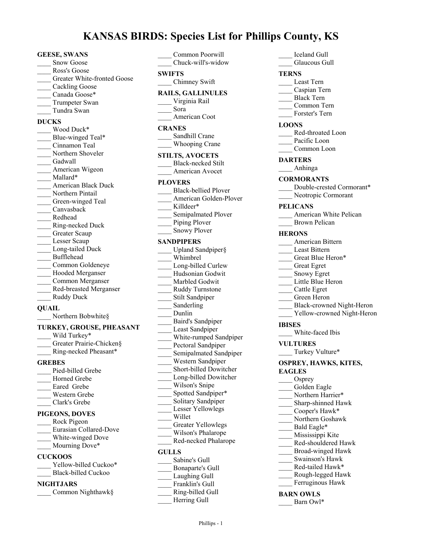# **KANSAS BIRDS: Species List for Phillips County, KS**

#### **GEESE, SWANS**

- Snow Goose
- Ross's Goose
- Greater White-fronted Goose
- Cackling Goose
- Canada Goose\*
- Trumpeter Swan
- \_\_\_\_ Tundra Swan

## **DUCKS**

- \_\_\_\_ Wood Duck\* Blue-winged Teal\* \_\_\_\_ Cinnamon Teal Northern Shoveler Gadwall American Wigeon \_\_\_\_ Mallard\* \_\_\_\_ American Black Duck Northern Pintail Green-winged Teal \_\_\_\_ Canvasback \_\_\_\_ Redhead \_\_\_\_ Ring-necked Duck Greater Scaup Lesser Scaup Long-tailed Duck \_\_\_\_ Bufflehead \_\_\_\_ Common Goldeneye Hooded Merganser \_\_\_\_ Common Merganser \_\_\_\_ Red-breasted Merganser \_\_\_\_ Ruddy Duck **QUAIL**
- Northern Bobwhite§

# **TURKEY, GROUSE, PHEASANT**

- Wild Turkey\* Greater Prairie-Chicken§
- \_\_\_\_ Ring-necked Pheasant\*

## **GREBES**

Pied-billed Grebe Horned Grebe Eared Grebe \_\_\_\_ Western Grebe \_\_\_\_ Clark's Grebe

## **PIGEONS, DOVES**

- \_\_\_\_ Rock Pigeon \_\_\_\_ Eurasian Collared-Dove White-winged Dove
- Mourning Dove\*

## **CUCKOOS**

- Yellow-billed Cuckoo\*
- Black-billed Cuckoo

## **NIGHTJARS**

\_\_\_\_ Common Nighthawk§

| Common Poorwill<br>Chuck-will's-widow                                                                                                                                                                                                                                                                                                                                                                                                                                                                                     |  |  |
|---------------------------------------------------------------------------------------------------------------------------------------------------------------------------------------------------------------------------------------------------------------------------------------------------------------------------------------------------------------------------------------------------------------------------------------------------------------------------------------------------------------------------|--|--|
| <b>SWIFTS</b>                                                                                                                                                                                                                                                                                                                                                                                                                                                                                                             |  |  |
| Chimney Swift                                                                                                                                                                                                                                                                                                                                                                                                                                                                                                             |  |  |
| <b>RAILS, GALLINULES</b><br>Virginia Rail<br>Sora<br>American Coot                                                                                                                                                                                                                                                                                                                                                                                                                                                        |  |  |
| <b>CRANES</b>                                                                                                                                                                                                                                                                                                                                                                                                                                                                                                             |  |  |
| Sandhill Crane<br>Whooping Crane                                                                                                                                                                                                                                                                                                                                                                                                                                                                                          |  |  |
| <b>STILTS, AVOCETS</b><br><b>Black-necked Stilt</b><br>American Avocet                                                                                                                                                                                                                                                                                                                                                                                                                                                    |  |  |
| <b>PLOVERS</b>                                                                                                                                                                                                                                                                                                                                                                                                                                                                                                            |  |  |
| <b>Black-bellied Plover</b><br>American Golden-Plover<br>Killdeer*<br>Semipalmated Plover<br>Piping Plover<br><b>Snowy Plover</b>                                                                                                                                                                                                                                                                                                                                                                                         |  |  |
| <b>SANDPIPERS</b>                                                                                                                                                                                                                                                                                                                                                                                                                                                                                                         |  |  |
| Upland Sandpiper§<br>Whimbrel<br>Long-billed Curlew<br>Hudsonian Godwit<br>Marbled Godwit<br>Ruddy Turnstone<br>Stilt Sandpiper<br>Sanderling<br>Dunlin<br>Baird's Sandpiper<br>Least Sandpiper<br>White-rumped Sandpiper<br>Pectoral Sandpiper<br>Semipalmated Sandpiper<br>Western Sandpiper<br>Short-billed Dowitcher<br>Long-billed Dowitcher<br>Wilson's Snipe<br>Spotted Sandpiper*<br>Solitary Sandpiper<br>Lesser Yellowlegs<br>Willet<br><b>Greater Yellowlegs</b><br>Wilson's Phalarope<br>Red-necked Phalarope |  |  |
|                                                                                                                                                                                                                                                                                                                                                                                                                                                                                                                           |  |  |
| <b>GULLS</b>                                                                                                                                                                                                                                                                                                                                                                                                                                                                                                              |  |  |
| Sabine's Gull<br>Bonaparte's Gull                                                                                                                                                                                                                                                                                                                                                                                                                                                                                         |  |  |
| Laughing Gull<br>Franklin's Gull                                                                                                                                                                                                                                                                                                                                                                                                                                                                                          |  |  |

- \_\_\_\_ Ring-billed Gull
	- Herring Gull
- \_\_\_\_ Iceland Gull
- Glaucous Gull

## **TERNS**

- \_\_\_\_ Least Tern
- \_\_\_\_ Caspian Tern
- \_\_\_\_ Black Tern
- \_\_\_\_ Common Tern Forster's Tern

## **LOONS**

- Red-throated Loon
- Pacific Loon
- Common Loon

## **DARTERS**

\_\_\_\_ Anhinga

## **CORMORANTS**

- Double-crested Cormorant\*
- Neotropic Cormorant

## **PELICANS**

- American White Pelican
- \_\_\_\_ Brown Pelican

## **HERONS**

- \_\_\_\_ American Bittern
- Least Bittern
- Great Blue Heron\*
- \_\_\_\_ Great Egret
- \_\_\_\_ Snowy Egret
- Little Blue Heron
- \_\_\_\_ Cattle Egret
- \_\_\_\_ Green Heron
- \_\_\_\_ Black-crowned Night-Heron
- Yellow-crowned Night-Heron

#### **IBISES**

\_\_\_\_ White-faced Ibis

#### **VULTURES**

Turkey Vulture\*

#### **OSPREY, HAWKS, KITES, EAGLES**

- Osprey Golden Eagle
- Northern Harrier\*
- \_\_\_\_ Sharp-shinned Hawk
- \_\_\_\_ Cooper's Hawk\*
- \_\_\_\_ Northern Goshawk
- Bald Eagle\* \_\_\_\_ Mississippi Kite
- \_\_\_\_ Red-shouldered Hawk
- \_\_\_\_ Broad-winged Hawk
- \_\_\_\_ Swainson's Hawk
- \_\_\_\_ Red-tailed Hawk\*
- \_\_\_\_ Rough-legged Hawk
- Ferruginous Hawk

## **BARN OWLS**

Barn Owl\*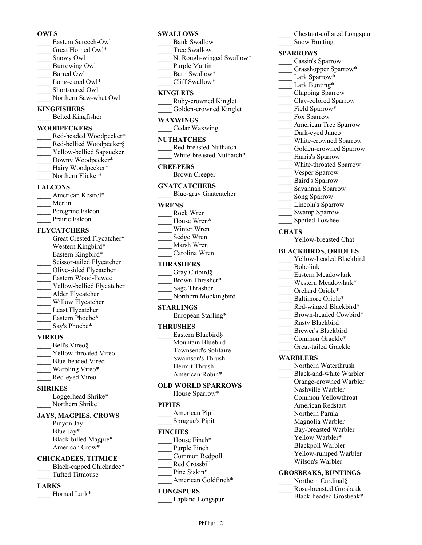## **OWLS**

- \_\_\_\_ Eastern Screech-Owl Great Horned Owl\* \_\_\_\_ Snowy Owl \_\_\_\_ Burrowing Owl Barred Owl Long-eared Owl\* Short-eared Owl
- Northern Saw-whet Owl

## **KINGFISHERS**

\_\_\_\_ Belted Kingfisher

## **WOODPECKERS**

Red-headed Woodpecker\* Red-bellied Woodpecker§ Yellow-bellied Sapsucker Downy Woodpecker\* Hairy Woodpecker\* Northern Flicker\*

#### **FALCONS**

American Kestrel\* \_\_\_\_ Merlin Peregrine Falcon Prairie Falcon

### **FLYCATCHERS**

Great Crested Flycatcher\* Western Kingbird\* Eastern Kingbird\* Scissor-tailed Flycatcher \_\_\_\_ Olive-sided Flycatcher \_\_\_\_ Eastern Wood-Pewee Yellow-bellied Flycatcher \_\_\_\_ Alder Flycatcher Willow Flycatcher Least Flycatcher Eastern Phoebe\* Say's Phoebe\*

#### **VIREOS**

- Bell's Vireo§ Yellow-throated Vireo \_\_\_\_ Blue-headed Vireo Warbling Vireo\*
- \_\_\_\_ Red-eyed Vireo

## **SHRIKES**

Loggerhead Shrike\* \_\_\_\_ Northern Shrike

#### **JAYS, MAGPIES, CROWS**

- Pinyon Jay Blue Jay\* Black-billed Magpie\*
- American Crow\*

# **CHICKADEES, TITMICE**

Black-capped Chickadee\* \_\_\_\_ Tufted Titmouse

## **LARKS**

Horned Lark\*

# **SWALLOWS**

- Bank Swallow Tree Swallow
- N. Rough-winged Swallow\*
- Purple Martin
- Barn Swallow\*
	- Cliff Swallow\*

### **KINGLETS**

\_\_\_\_ Ruby-crowned Kinglet Golden-crowned Kinglet

### **WAXWINGS**

\_\_\_\_ Cedar Waxwing

#### **NUTHATCHES**

\_\_\_\_ Red-breasted Nuthatch White-breasted Nuthatch\*

#### **CREEPERS**

\_\_\_\_ Brown Creeper

## **GNATCATCHERS**

\_\_\_\_ Blue-gray Gnatcatcher

#### **WRENS**

- \_\_\_\_ Rock Wren
- House Wren\*
- Winter Wren
- Sedge Wren
- \_\_\_\_ Marsh Wren \_\_\_\_ Carolina Wren

### **THRASHERS**

- Gray Catbird§
- Brown Thrasher\*
- \_\_\_\_ Sage Thrasher
- Northern Mockingbird

## **STARLINGS**

European Starling\*

## **THRUSHES**

- Eastern Bluebird§
- \_\_\_\_ Mountain Bluebird
- \_\_\_\_ Townsend's Solitaire
- \_\_\_\_ Swainson's Thrush
- \_\_\_\_ Hermit Thrush
- American Robin\*

#### **OLD WORLD SPARROWS** House Sparrow\*

# **PIPITS**

| - - - - - - |                 |
|-------------|-----------------|
|             | American Pipit  |
|             | Sprague's Pipit |

#### **FINCHES**

- House Finch\*
- Purple Finch
- \_\_\_\_ Common Redpoll
- \_\_\_\_ Red Crossbill Pine Siskin\*
- American Goldfinch\*

## **LONGSPURS**

\_\_\_\_ Lapland Longspur

Phillips - 2

\_\_\_\_ Chestnut-collared Longspur Snow Bunting

#### **SPARROWS**

- Cassin's Sparrow
- Grasshopper Sparrow\*
- Lark Sparrow\*
- Lark Bunting\*
- \_\_\_\_ Chipping Sparrow
- Clay-colored Sparrow
- Field Sparrow\*
- \_\_\_\_ Fox Sparrow
- American Tree Sparrow
- Dark-eyed Junco
- White-crowned Sparrow
- Golden-crowned Sparrow
	- Harris's Sparrow
- White-throated Sparrow
- Vesper Sparrow
- \_\_\_\_ Baird's Sparrow
- \_\_\_\_ Savannah Sparrow
- Song Sparrow
- Lincoln's Sparrow
- Swamp Sparrow
- Spotted Towhee

#### **CHATS**

Yellow-breasted Chat

### **BLACKBIRDS, ORIOLES**

- Yellow-headed Blackbird
- \_\_\_\_ Bobolink
- \_\_\_\_ Eastern Meadowlark
- Western Meadowlark\* Orchard Oriole\*

Baltimore Oriole\* Red-winged Blackbird\* Brown-headed Cowbird\*

\_\_\_\_ Rusty Blackbird \_\_\_\_ Brewer's Blackbird Common Grackle\* \_\_\_\_ Great-tailed Grackle

Northern Waterthrush Black-and-white Warbler Orange-crowned Warbler Nashville Warbler \_\_\_\_ Common Yellowthroat \_\_\_\_ American Redstart Northern Parula Magnolia Warbler Bay-breasted Warbler Yellow Warbler\* \_\_\_\_ Blackpoll Warbler Yellow-rumped Warbler Wilson's Warbler **GROSBEAKS, BUNTINGS** Northern Cardinal§ \_\_\_\_ Rose-breasted Grosbeak Black-headed Grosbeak\*

**WARBLERS**